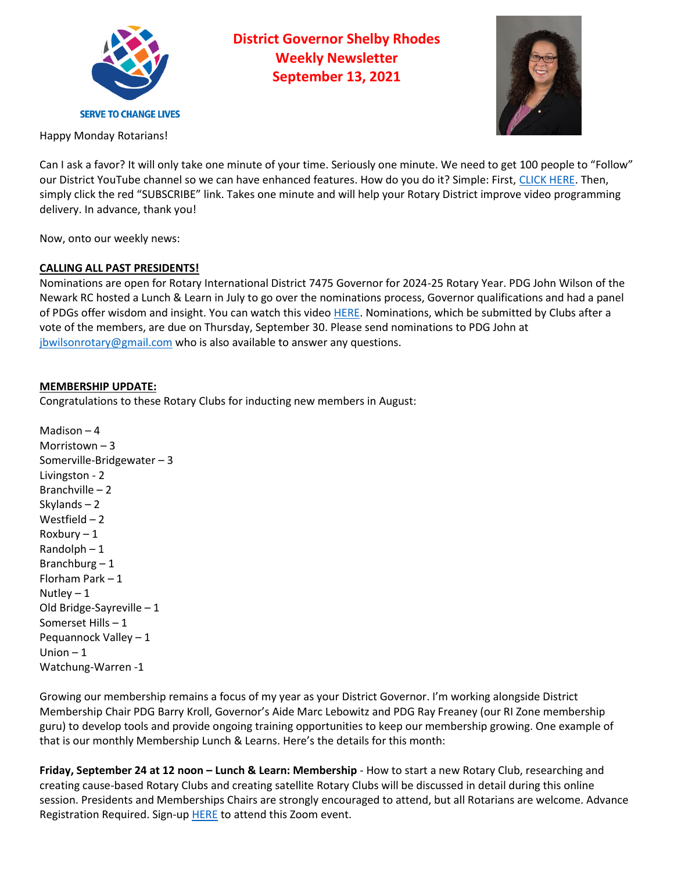

**District Governor Shelby Rhodes Weekly Newsletter September 13, 2021**



Happy Monday Rotarians!

Can I ask a favor? It will only take one minute of your time. Seriously one minute. We need to get 100 people to "Follow" our District YouTube channel so we can have enhanced features. How do you do it? Simple: First, [CLICK HERE.](https://www.youtube.com/channel/UCFK_0oZlwDpn13Aod1Tpgpw) Then, simply click the red "SUBSCRIBE" link. Takes one minute and will help your Rotary District improve video programming delivery. In advance, thank you!

Now, onto our weekly news:

# **CALLING ALL PAST PRESIDENTS!**

Nominations are open for Rotary International District 7475 Governor for 2024-25 Rotary Year. PDG John Wilson of the Newark RC hosted a Lunch & Learn in July to go over the nominations process, Governor qualifications and had a panel of PDGs offer wisdom and insight. You can watch this video [HERE.](https://youtu.be/3CpvrOTxilw) Nominations, which be submitted by Clubs after a vote of the members, are due on Thursday, September 30. Please send nominations to PDG John at [jbwilsonrotary@gmail.com](mailto:jbwilsonrotary@gmail.com) who is also available to answer any questions.

## **MEMBERSHIP UPDATE:**

Congratulations to these Rotary Clubs for inducting new members in August:

Madison – 4 Morristown – 3 Somerville-Bridgewater – 3 Livingston - 2 Branchville – 2 Skylands – 2 Westfield – 2 Roxbury – 1 Randolph – 1 Branchburg  $-1$ Florham Park – 1 Nutley  $-1$ Old Bridge-Sayreville – 1 Somerset Hills – 1 Pequannock Valley – 1 Union  $-1$ Watchung-Warren -1

Growing our membership remains a focus of my year as your District Governor. I'm working alongside District Membership Chair PDG Barry Kroll, Governor's Aide Marc Lebowitz and PDG Ray Freaney (our RI Zone membership guru) to develop tools and provide ongoing training opportunities to keep our membership growing. One example of that is our monthly Membership Lunch & Learns. Here's the details for this month:

**Friday, September 24 at 12 noon – Lunch & Learn: Membership** - How to start a new Rotary Club, researching and creating cause-based Rotary Clubs and creating satellite Rotary Clubs will be discussed in detail during this online session. Presidents and Memberships Chairs are strongly encouraged to attend, but all Rotarians are welcome. Advance Registration Required. Sign-up **[HERE](https://us02web.zoom.us/meeting/register/tZUtdu-rrD0tGNaS_JtQa4YCx5QDBR_oDsgh)** to attend this Zoom event.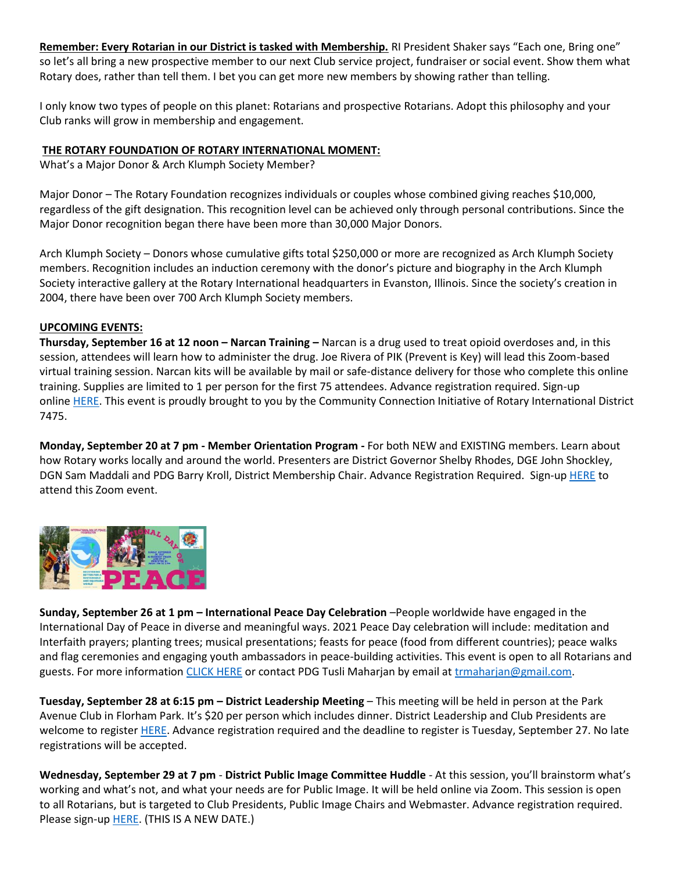**Remember: Every Rotarian in our District is tasked with Membership.** RI President Shaker says "Each one, Bring one" so let's all bring a new prospective member to our next Club service project, fundraiser or social event. Show them what Rotary does, rather than tell them. I bet you can get more new members by showing rather than telling.

I only know two types of people on this planet: Rotarians and prospective Rotarians. Adopt this philosophy and your Club ranks will grow in membership and engagement.

## **THE ROTARY FOUNDATION OF ROTARY INTERNATIONAL MOMENT:**

What's a Major Donor & Arch Klumph Society Member?

Major Donor – The Rotary Foundation recognizes individuals or couples whose combined giving reaches \$10,000, regardless of the gift designation. This recognition level can be achieved only through personal contributions. Since the Major Donor recognition began there have been more than 30,000 Major Donors.

Arch Klumph Society – Donors whose cumulative gifts total \$250,000 or more are recognized as Arch Klumph Society members. Recognition includes an induction ceremony with the donor's picture and biography in the Arch Klumph Society interactive gallery at the Rotary International headquarters in Evanston, Illinois. Since the society's creation in 2004, there have been over 700 Arch Klumph Society members.

#### **UPCOMING EVENTS:**

**Thursday, September 16 at 12 noon – Narcan Training –** Narcan is a drug used to treat opioid overdoses and, in this session, attendees will learn how to administer the drug. Joe Rivera of PIK (Prevent is Key) will lead this Zoom-based virtual training session. Narcan kits will be available by mail or safe-distance delivery for those who complete this online training. Supplies are limited to 1 per person for the first 75 attendees. Advance registration required. Sign-up online [HERE.](https://us02web.zoom.us/meeting/register/tZcrf-2vpj0sE9crdDqCEn1NaDnno9MV7YdC) This event is proudly brought to you by the Community Connection Initiative of Rotary International District 7475.

**Monday, September 20 at 7 pm - Member Orientation Program -** For both NEW and EXISTING members. Learn about how Rotary works locally and around the world. Presenters are District Governor Shelby Rhodes, DGE John Shockley, DGN Sam Maddali and PDG Barry Kroll, District Membership Chair. Advance Registration Required. Sign-up [HERE](https://us02web.zoom.us/meeting/register/tZwuf-CsqTwvG9HsQHf6QA9aDVYZr5pvpZ07) to attend this Zoom event.



**Sunday, September 26 at 1 pm – International Peace Day Celebration** –People worldwide have engaged in the International Day of Peace in diverse and meaningful ways. 2021 Peace Day celebration will include: meditation and Interfaith prayers; planting trees; musical presentations; feasts for peace (food from different countries); peace walks and flag ceremonies and engaging youth ambassadors in peace-building activities. This event is open to all Rotarians and guests. For more information [CLICK HERE](https://www.dropbox.com/s/23tjle2i36xnpkq/peace21a.pdf?dl=0) or contact PDG Tusli Maharjan by email at [trmaharjan@gmail.com.](mailto:trmaharjan@gmail.com)

**Tuesday, September 28 at 6:15 pm – District Leadership Meeting** – This meeting will be held in person at the Park Avenue Club in Florham Park. It's \$20 per person which includes dinner. District Leadership and Club Presidents are welcome to register [HERE.](http://evite.me/DhpVtfwCaW) Advance registration required and the deadline to register is Tuesday, September 27. No late registrations will be accepted.

**Wednesday, September 29 at 7 pm** - **District Public Image Committee Huddle** - At this session, you'll brainstorm what's working and what's not, and what your needs are for Public Image. It will be held online via Zoom. This session is open to all Rotarians, but is targeted to Club Presidents, Public Image Chairs and Webmaster. Advance registration required. Please sign-up **HERE**. (THIS IS A NEW DATE.)